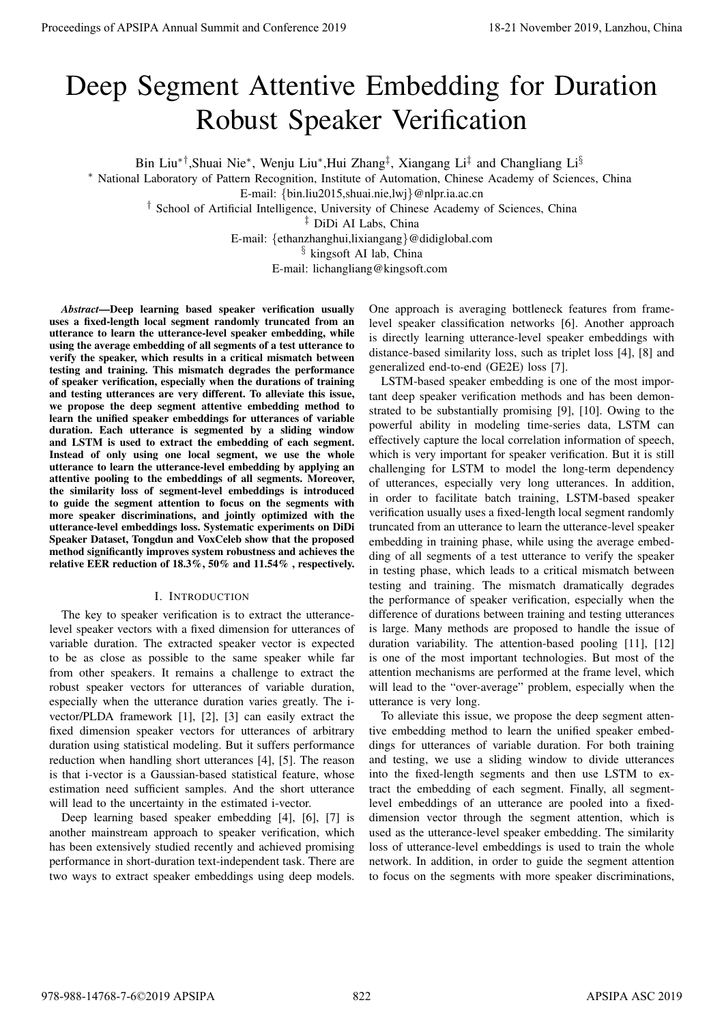# Deep Segment Attentive Embedding for Duration Robust Speaker Verification

Bin Liu<sup>∗†</sup>,Shuai Nie<sup>∗</sup>, Wenju Liu<sup>∗</sup>,Hui Zhang<sup>‡</sup>, Xiangang Li<sup>‡</sup> and Changliang Li<sup>§</sup>

<sup>∗</sup> National Laboratory of Pattern Recognition, Institute of Automation, Chinese Academy of Sciences, China

E-mail: {bin.liu2015,shuai.nie,lwj}@nlpr.ia.ac.cn

† School of Artificial Intelligence, University of Chinese Academy of Sciences, China

‡ DiDi AI Labs, China

E-mail: {ethanzhanghui,lixiangang}@didiglobal.com

§ kingsoft AI lab, China

E-mail: lichangliang@kingsoft.com

*Abstract*—Deep learning based speaker verification usually uses a fixed-length local segment randomly truncated from an utterance to learn the utterance-level speaker embedding, while using the average embedding of all segments of a test utterance to verify the speaker, which results in a critical mismatch between testing and training. This mismatch degrades the performance of speaker verification, especially when the durations of training and testing utterances are very different. To alleviate this issue, we propose the deep segment attentive embedding method to learn the unified speaker embeddings for utterances of variable duration. Each utterance is segmented by a sliding window and LSTM is used to extract the embedding of each segment. Instead of only using one local segment, we use the whole utterance to learn the utterance-level embedding by applying an attentive pooling to the embeddings of all segments. Moreover, the similarity loss of segment-level embeddings is introduced to guide the segment attention to focus on the segments with more speaker discriminations, and jointly optimized with the utterance-level embeddings loss. Systematic experiments on DiDi Speaker Dataset, Tongdun and VoxCeleb show that the proposed method significantly improves system robustness and achieves the relative EER reduction of 18.3%, 50% and 11.54% , respectively.

## I. INTRODUCTION

The key to speaker verification is to extract the utterancelevel speaker vectors with a fixed dimension for utterances of variable duration. The extracted speaker vector is expected to be as close as possible to the same speaker while far from other speakers. It remains a challenge to extract the robust speaker vectors for utterances of variable duration, especially when the utterance duration varies greatly. The ivector/PLDA framework [1], [2], [3] can easily extract the fixed dimension speaker vectors for utterances of arbitrary duration using statistical modeling. But it suffers performance reduction when handling short utterances [4], [5]. The reason is that i-vector is a Gaussian-based statistical feature, whose estimation need sufficient samples. And the short utterance will lead to the uncertainty in the estimated i-vector.

Deep learning based speaker embedding [4], [6], [7] is another mainstream approach to speaker verification, which has been extensively studied recently and achieved promising performance in short-duration text-independent task. There are two ways to extract speaker embeddings using deep models.

One approach is averaging bottleneck features from framelevel speaker classification networks [6]. Another approach is directly learning utterance-level speaker embeddings with distance-based similarity loss, such as triplet loss [4], [8] and generalized end-to-end (GE2E) loss [7].

LSTM-based speaker embedding is one of the most important deep speaker verification methods and has been demonstrated to be substantially promising [9], [10]. Owing to the powerful ability in modeling time-series data, LSTM can effectively capture the local correlation information of speech, which is very important for speaker verification. But it is still challenging for LSTM to model the long-term dependency of utterances, especially very long utterances. In addition, in order to facilitate batch training, LSTM-based speaker verification usually uses a fixed-length local segment randomly truncated from an utterance to learn the utterance-level speaker embedding in training phase, while using the average embedding of all segments of a test utterance to verify the speaker in testing phase, which leads to a critical mismatch between testing and training. The mismatch dramatically degrades the performance of speaker verification, especially when the difference of durations between training and testing utterances is large. Many methods are proposed to handle the issue of duration variability. The attention-based pooling [11], [12] is one of the most important technologies. But most of the attention mechanisms are performed at the frame level, which will lead to the "over-average" problem, especially when the utterance is very long. **Proceedings of APSIPA Annual Summit at China 978-988-1478**<br> **Proceedings of Proceedings of Apsilon Andre Conference 2019**<br> **Proceedings of Apsilon Andre Conference 2019**<br> **Proceedings of Apsilon Andre Conference 2019**<br>

To alleviate this issue, we propose the deep segment attentive embedding method to learn the unified speaker embeddings for utterances of variable duration. For both training and testing, we use a sliding window to divide utterances into the fixed-length segments and then use LSTM to extract the embedding of each segment. Finally, all segmentlevel embeddings of an utterance are pooled into a fixeddimension vector through the segment attention, which is used as the utterance-level speaker embedding. The similarity loss of utterance-level embeddings is used to train the whole network. In addition, in order to guide the segment attention to focus on the segments with more speaker discriminations,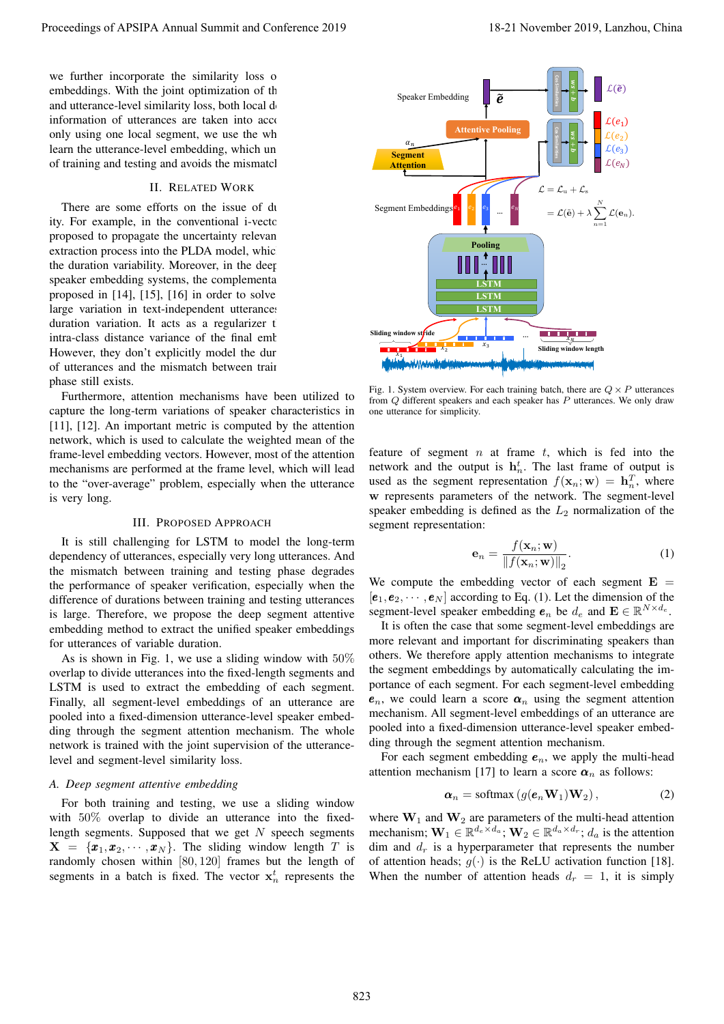we further incorporate the similarity loss of embeddings. With the joint optimization of the and utterance-level similarity loss, both local  $d_0$ information of utterances are taken into account only using one local segment, we use the wh learn the utterance-level embedding, which un of training and testing and avoids the mismatch

## II. RELATED WORK

There are some efforts on the issue of duration ity. For example, in the conventional i-vector proposed to propagate the uncertainty relevan extraction process into the PLDA model, which the duration variability. Moreover, in the deep speaker embedding systems, the complementary proposed in  $[14]$ ,  $[15]$ ,  $[16]$  in order to solve large variation in text-independent utterances duration variation. It acts as a regularizer that intra-class distance variance of the final emb However, they don't explicitly model the dur of utterances and the mismatch between train phase still exists.

Furthermore, attention mechanisms have been utilized to capture the long-term variations of speaker characteristics in [11], [12]. An important metric is computed by the attention network, which is used to calculate the weighted mean of the frame-level embedding vectors. However, most of the attention mechanisms are performed at the frame level, which will lead to the "over-average" problem, especially when the utterance is very long.

#### III. PROPOSED APPROACH

It is still challenging for LSTM to model the long-term dependency of utterances, especially very long utterances. And the mismatch between training and testing phase degrades the performance of speaker verification, especially when the difference of durations between training and testing utterances is large. Therefore, we propose the deep segment attentive embedding method to extract the unified speaker embeddings for utterances of variable duration.

As is shown in Fig. 1, we use a sliding window with  $50\%$ overlap to divide utterances into the fixed-length segments and LSTM is used to extract the embedding of each segment. Finally, all segment-level embeddings of an utterance are pooled into a fixed-dimension utterance-level speaker embedding through the segment attention mechanism. The whole network is trained with the joint supervision of the utterancelevel and segment-level similarity loss.

#### *A. Deep segment attentive embedding*

For both training and testing, we use a sliding window with 50% overlap to divide an utterance into the fixedlength segments. Supposed that we get  $N$  speech segments  $X = \{x_1, x_2, \dots, x_N\}$ . The sliding window length T is randomly chosen within [80, 120] frames but the length of segments in a batch is fixed. The vector  $x_n^t$  represents the



Fig. 1. System overview. For each training batch, there are  $Q \times P$  utterances from Q different speakers and each speaker has P utterances. We only draw one utterance for simplicity.

feature of segment  $n$  at frame  $t$ , which is fed into the network and the output is  $h_n^t$ . The last frame of output is used as the segment representation  $f(\mathbf{x}_n; \mathbf{w}) = \mathbf{h}_n^T$ , where w represents parameters of the network. The segment-level speaker embedding is defined as the  $L_2$  normalization of the segment representation:

$$
\mathbf{e}_n = \frac{f(\mathbf{x}_n; \mathbf{w})}{\|f(\mathbf{x}_n; \mathbf{w})\|_2}.
$$
 (1)

We compute the embedding vector of each segment  $E =$  $[e_1, e_2, \cdots, e_N]$  according to Eq. (1). Let the dimension of the segment-level speaker embedding  $e_n$  be  $d_e$  and  $\mathbf{E} \in \mathbb{R}^{N \times d_e}$ .

It is often the case that some segment-level embeddings are more relevant and important for discriminating speakers than others. We therefore apply attention mechanisms to integrate the segment embeddings by automatically calculating the importance of each segment. For each segment-level embedding  $e_n$ , we could learn a score  $\alpha_n$  using the segment attention mechanism. All segment-level embeddings of an utterance are pooled into a fixed-dimension utterance-level speaker embedding through the segment attention mechanism.

For each segment embedding  $e_n$ , we apply the multi-head attention mechanism [17] to learn a score  $\alpha_n$  as follows:

$$
\boldsymbol{\alpha}_n = \text{softmax}\left(g(\boldsymbol{e}_n \mathbf{W}_1) \mathbf{W}_2\right),\tag{2}
$$

where  $W_1$  and  $W_2$  are parameters of the multi-head attention mechanism;  $\mathbf{W}_1 \in \mathbb{R}^{d_e \times d_a}$ ;  $\mathbf{W}_2 \in \mathbb{R}^{d_a \times d_r}$ ;  $d_a$  is the attention dim and  $d_r$  is a hyperparameter that represents the number of attention heads;  $g(\cdot)$  is the ReLU activation function [18]. When the number of attention heads  $d_r = 1$ , it is simply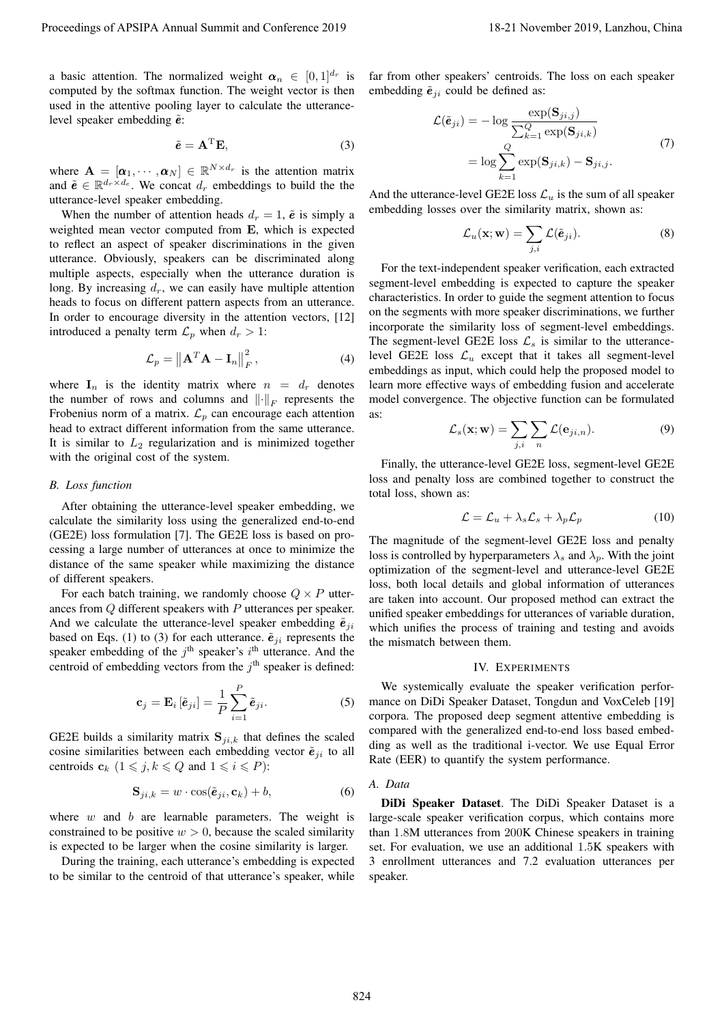a basic attention. The normalized weight  $\boldsymbol{\alpha}_n \in [0,1]^{d_r}$  is computed by the softmax function. The weight vector is then used in the attentive pooling layer to calculate the utterancelevel speaker embedding  $\tilde{e}$ :

$$
\tilde{e} = A^{\mathrm{T}} E,\tag{3}
$$

where  $\mathbf{A} = [\boldsymbol{\alpha}_1, \cdots, \boldsymbol{\alpha}_N] \in \mathbb{R}^{N \times d_r}$  is the attention matrix and  $\tilde{e} \in \mathbb{R}^{d_r \times d_e}$ . We concat  $d_r$  embeddings to build the the utterance-level speaker embedding.

When the number of attention heads  $d_r = 1$ ,  $\tilde{e}$  is simply a weighted mean vector computed from E, which is expected to reflect an aspect of speaker discriminations in the given utterance. Obviously, speakers can be discriminated along multiple aspects, especially when the utterance duration is long. By increasing  $d_r$ , we can easily have multiple attention heads to focus on different pattern aspects from an utterance. In order to encourage diversity in the attention vectors, [12] introduced a penalty term  $\mathcal{L}_p$  when  $d_r > 1$ :

$$
\mathcal{L}_p = \left\| \mathbf{A}^T \mathbf{A} - \mathbf{I}_n \right\|_F^2, \tag{4}
$$

where  $I_n$  is the identity matrix where  $n = d_r$  denotes the number of rows and columns and  $\left\| \cdot \right\|_F$  represents the Frobenius norm of a matrix.  $\mathcal{L}_p$  can encourage each attention head to extract different information from the same utterance. It is similar to  $L_2$  regularization and is minimized together with the original cost of the system.

## *B. Loss function*

After obtaining the utterance-level speaker embedding, we calculate the similarity loss using the generalized end-to-end (GE2E) loss formulation [7]. The GE2E loss is based on processing a large number of utterances at once to minimize the distance of the same speaker while maximizing the distance of different speakers.

For each batch training, we randomly choose  $Q \times P$  utterances from Q different speakers with P utterances per speaker. And we calculate the utterance-level speaker embedding  $\tilde{e}_{ii}$ based on Eqs. (1) to (3) for each utterance.  $\tilde{e}_{ii}$  represents the speaker embedding of the  $j<sup>th</sup>$  speaker's  $i<sup>th</sup>$  utterance. And the centroid of embedding vectors from the  $j<sup>th</sup>$  speaker is defined:

$$
\mathbf{c}_{j} = \mathbf{E}_{i} \left[ \tilde{\mathbf{e}}_{ji} \right] = \frac{1}{P} \sum_{i=1}^{P} \tilde{\mathbf{e}}_{ji}.
$$
 (5)

GE2E builds a similarity matrix  $S_{ji,k}$  that defines the scaled cosine similarities between each embedding vector  $\tilde{e}_{ji}$  to all centroids  $c_k$   $(1 \le j, k \le Q$  and  $1 \le i \le P)$ :

$$
\mathbf{S}_{ji,k} = w \cdot \cos(\tilde{\boldsymbol{e}}_{ji}, \mathbf{c}_k) + b,\tag{6}
$$

where  $w$  and  $b$  are learnable parameters. The weight is constrained to be positive  $w > 0$ , because the scaled similarity is expected to be larger when the cosine similarity is larger.

During the training, each utterance's embedding is expected to be similar to the centroid of that utterance's speaker, while

far from other speakers' centroids. The loss on each speaker embedding  $\tilde{e}_{ii}$  could be defined as:

$$
\mathcal{L}(\tilde{\mathbf{e}}_{ji}) = -\log \frac{\exp(\mathbf{S}_{ji,j})}{\sum_{k=1}^{Q} \exp(\mathbf{S}_{ji,k})}
$$

$$
= \log \sum_{k=1}^{Q} \exp(\mathbf{S}_{ji,k}) - \mathbf{S}_{ji,j}.
$$
(7)

And the utterance-level GE2E loss  $\mathcal{L}_u$  is the sum of all speaker embedding losses over the similarity matrix, shown as:

$$
\mathcal{L}_u(\mathbf{x}; \mathbf{w}) = \sum_{j,i} \mathcal{L}(\tilde{\boldsymbol{e}}_{ji}).
$$
\n(8)

For the text-independent speaker verification, each extracted segment-level embedding is expected to capture the speaker characteristics. In order to guide the segment attention to focus on the segments with more speaker discriminations, we further incorporate the similarity loss of segment-level embeddings. The segment-level GE2E loss  $\mathcal{L}_s$  is similar to the utterancelevel GE2E loss  $\mathcal{L}_u$  except that it takes all segment-level embeddings as input, which could help the proposed model to learn more effective ways of embedding fusion and accelerate model convergence. The objective function can be formulated as: Proceedings of APSIPA Annual Summit at China 52 no 2019<br>
A minimizar content of the form of the form of the form of the form of the form of the form of the form of the form of the form of the form of the form of the form

$$
\mathcal{L}_s(\mathbf{x}; \mathbf{w}) = \sum_{j,i} \sum_n \mathcal{L}(\mathbf{e}_{ji,n}).
$$
\n(9)

Finally, the utterance-level GE2E loss, segment-level GE2E loss and penalty loss are combined together to construct the total loss, shown as:

$$
\mathcal{L} = \mathcal{L}_u + \lambda_s \mathcal{L}_s + \lambda_p \mathcal{L}_p \tag{10}
$$

The magnitude of the segment-level GE2E loss and penalty loss is controlled by hyperparameters  $\lambda_s$  and  $\lambda_n$ . With the joint optimization of the segment-level and utterance-level GE2E loss, both local details and global information of utterances are taken into account. Our proposed method can extract the unified speaker embeddings for utterances of variable duration, which unifies the process of training and testing and avoids the mismatch between them.

#### IV. EXPERIMENTS

We systemically evaluate the speaker verification performance on DiDi Speaker Dataset, Tongdun and VoxCeleb [19] corpora. The proposed deep segment attentive embedding is compared with the generalized end-to-end loss based embedding as well as the traditional i-vector. We use Equal Error Rate (EER) to quantify the system performance.

#### *A. Data*

DiDi Speaker Dataset. The DiDi Speaker Dataset is a large-scale speaker verification corpus, which contains more than 1.8M utterances from 200K Chinese speakers in training set. For evaluation, we use an additional 1.5K speakers with 3 enrollment utterances and 7.2 evaluation utterances per speaker.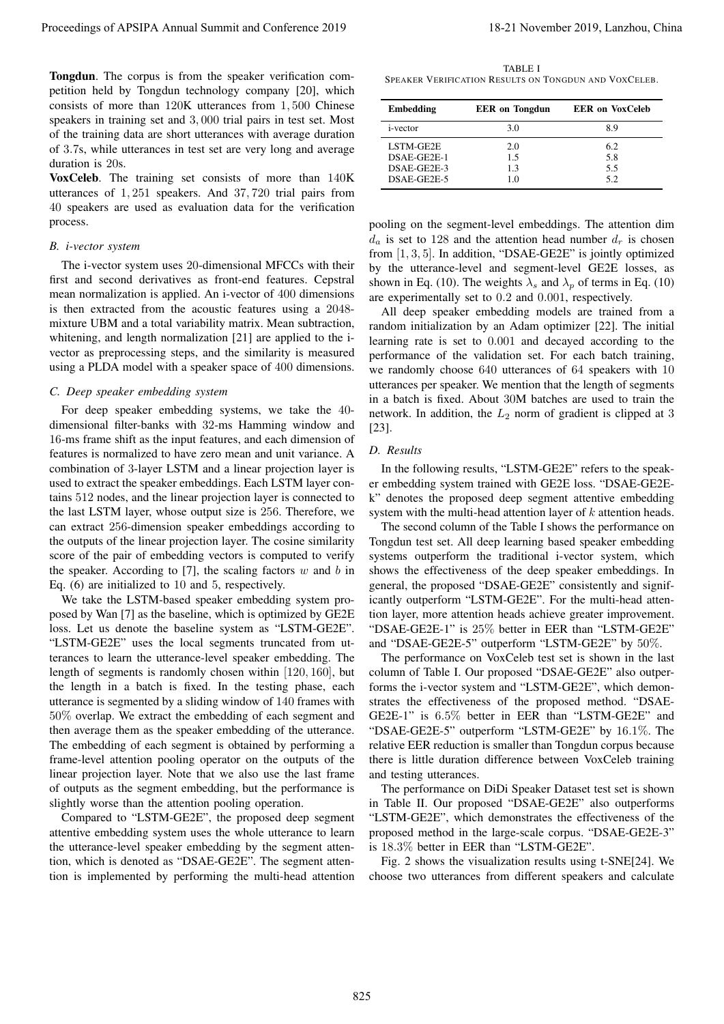Tongdun. The corpus is from the speaker verification competition held by Tongdun technology company [20], which consists of more than 120K utterances from 1, 500 Chinese speakers in training set and 3, 000 trial pairs in test set. Most of the training data are short utterances with average duration of 3.7s, while utterances in test set are very long and average duration is 20s.

VoxCeleb. The training set consists of more than 140K utterances of 1, 251 speakers. And 37, 720 trial pairs from 40 speakers are used as evaluation data for the verification process.

# *B. i-vector system*

The i-vector system uses 20-dimensional MFCCs with their first and second derivatives as front-end features. Cepstral mean normalization is applied. An i-vector of 400 dimensions is then extracted from the acoustic features using a 2048 mixture UBM and a total variability matrix. Mean subtraction, whitening, and length normalization [21] are applied to the ivector as preprocessing steps, and the similarity is measured using a PLDA model with a speaker space of 400 dimensions.

# *C. Deep speaker embedding system*

For deep speaker embedding systems, we take the 40 dimensional filter-banks with 32-ms Hamming window and 16-ms frame shift as the input features, and each dimension of features is normalized to have zero mean and unit variance. A combination of 3-layer LSTM and a linear projection layer is used to extract the speaker embeddings. Each LSTM layer contains 512 nodes, and the linear projection layer is connected to the last LSTM layer, whose output size is 256. Therefore, we can extract 256-dimension speaker embeddings according to the outputs of the linear projection layer. The cosine similarity score of the pair of embedding vectors is computed to verify the speaker. According to [7], the scaling factors  $w$  and  $b$  in Eq. (6) are initialized to 10 and 5, respectively.

We take the LSTM-based speaker embedding system proposed by Wan [7] as the baseline, which is optimized by GE2E loss. Let us denote the baseline system as "LSTM-GE2E". "LSTM-GE2E" uses the local segments truncated from utterances to learn the utterance-level speaker embedding. The length of segments is randomly chosen within [120, 160], but the length in a batch is fixed. In the testing phase, each utterance is segmented by a sliding window of 140 frames with 50% overlap. We extract the embedding of each segment and then average them as the speaker embedding of the utterance. The embedding of each segment is obtained by performing a frame-level attention pooling operator on the outputs of the linear projection layer. Note that we also use the last frame of outputs as the segment embedding, but the performance is slightly worse than the attention pooling operation. Proceedings of APSIPA Annual Summit and Conference 2019<br>
The proceedings of the proceedings of the state of the state of the state of the state of the state of the state of the state of the state of the state of the state

Compared to "LSTM-GE2E", the proposed deep segment attentive embedding system uses the whole utterance to learn the utterance-level speaker embedding by the segment attention, which is denoted as "DSAE-GE2E". The segment attention is implemented by performing the multi-head attention

TABLE I SPEAKER VERIFICATION RESULTS ON TONGDUN AND VOXCELEB.

| <b>Embedding</b> | <b>EER</b> on Tongdun | <b>EER</b> on VoxCeleb |
|------------------|-----------------------|------------------------|
| <i>i</i> -vector | 3.0                   | 89                     |
| LSTM-GE2E        | 2.0                   | 62                     |
| DSAE-GE2E-1      | 1.5                   | 5.8                    |
| DSAE-GE2E-3      | 13                    | 5.5                    |
| DSAE-GE2E-5      | 10                    | 5.2                    |

pooling on the segment-level embeddings. The attention dim  $d_a$  is set to 128 and the attention head number  $d_r$  is chosen from [1, 3, 5]. In addition, "DSAE-GE2E" is jointly optimized by the utterance-level and segment-level GE2E losses, as shown in Eq. (10). The weights  $\lambda_s$  and  $\lambda_p$  of terms in Eq. (10) are experimentally set to 0.2 and 0.001, respectively.

All deep speaker embedding models are trained from a random initialization by an Adam optimizer [22]. The initial learning rate is set to 0.001 and decayed according to the performance of the validation set. For each batch training, we randomly choose 640 utterances of 64 speakers with 10 utterances per speaker. We mention that the length of segments in a batch is fixed. About 30M batches are used to train the network. In addition, the  $L_2$  norm of gradient is clipped at 3 [23].

## *D. Results*

In the following results, "LSTM-GE2E" refers to the speaker embedding system trained with GE2E loss. "DSAE-GE2Ek" denotes the proposed deep segment attentive embedding system with the multi-head attention layer of  $k$  attention heads.

The second column of the Table I shows the performance on Tongdun test set. All deep learning based speaker embedding systems outperform the traditional i-vector system, which shows the effectiveness of the deep speaker embeddings. In general, the proposed "DSAE-GE2E" consistently and significantly outperform "LSTM-GE2E". For the multi-head attention layer, more attention heads achieve greater improvement. "DSAE-GE2E-1" is 25% better in EER than "LSTM-GE2E" and "DSAE-GE2E-5" outperform "LSTM-GE2E" by 50%.

The performance on VoxCeleb test set is shown in the last column of Table I. Our proposed "DSAE-GE2E" also outperforms the i-vector system and "LSTM-GE2E", which demonstrates the effectiveness of the proposed method. "DSAE-GE2E-1" is 6.5% better in EER than "LSTM-GE2E" and "DSAE-GE2E-5" outperform "LSTM-GE2E" by 16.1%. The relative EER reduction is smaller than Tongdun corpus because there is little duration difference between VoxCeleb training and testing utterances.

The performance on DiDi Speaker Dataset test set is shown in Table II. Our proposed "DSAE-GE2E" also outperforms "LSTM-GE2E", which demonstrates the effectiveness of the proposed method in the large-scale corpus. "DSAE-GE2E-3" is 18.3% better in EER than "LSTM-GE2E".

Fig. 2 shows the visualization results using t-SNE[24]. We choose two utterances from different speakers and calculate